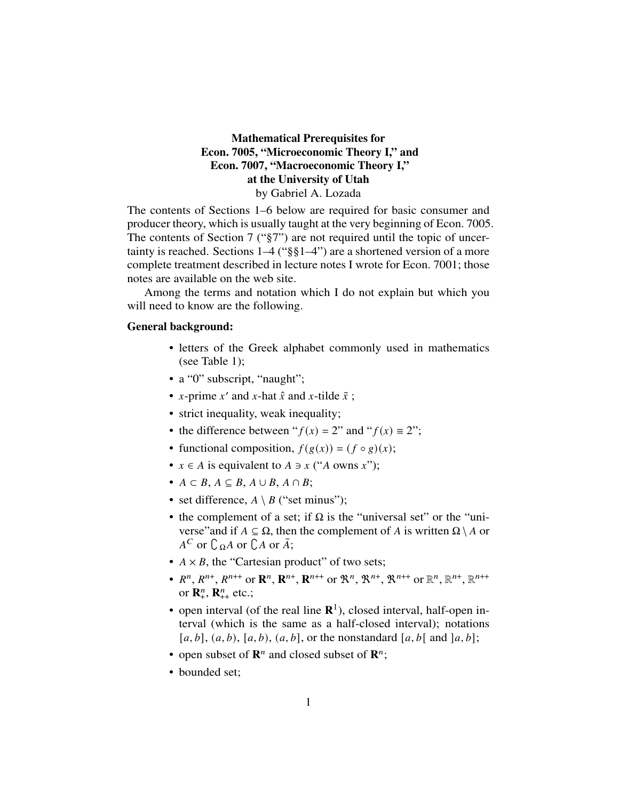# Mathematical Prerequisites for Econ. 7005, "Microeconomic Theory I," and Econ. 7007, "Macroeconomic Theory I," at the University of Utah by Gabriel A. Lozada

The contents of Sections 1–6 below are required for basic consumer and producer theory, which is usually taught at the very beginning of Econ. 7005. The contents of Section 7 ("§7") are not required until the topic of uncertainty is reached. Sections 1–4 ("§§1–4") are a shortened version of a more complete treatment described in lecture notes I wrote for Econ. 7001; those notes are available on the web site.

Among the terms and notation which I do not explain but which you will need to know are the following.

# General background:

- letters of the Greek alphabet commonly used in mathematics (see Table 1);
- a "0" subscript, "naught";
- x-prime  $x'$  and  $x$ -hat  $\hat{x}$  and  $x$ -tilde  $\tilde{x}$ ;
- strict inequality, weak inequality;
- the difference between " $f(x) = 2$ " and " $f(x) \equiv 2$ ";
- functional composition,  $f(g(x)) = (f \circ g)(x)$ ;
- $x \in A$  is equivalent to  $A \ni x$  ("A owns x");
- $A \subset B$ ,  $A \subseteq B$ ,  $A \cup B$ ,  $A \cap B$ ;
- set difference,  $A \setminus B$  ("set minus");
- the complement of a set; if  $\Omega$  is the "universal set" or the "universe"and if  $A \subseteq \Omega$ , then the complement of A is written  $\Omega \setminus A$  or  $A^C$  or  $C_{\Omega}A$  or  $C_A$  or  $\overline{A}$ ;
- $A \times B$ , the "Cartesian product" of two sets;
- $R^n$ ,  $R^{n+}$ ,  $R^{n++}$  or  $\mathbb{R}^n$ ,  $\mathbb{R}^{n++}$  or  $\mathbb{R}^n$ ,  $\mathbb{R}^{n+}$ ,  $\mathbb{R}^{n++}$  or  $\mathbb{R}^n$ ,  $\mathbb{R}^{n+}$ ,  $\mathbb{R}^{n++}$ or  $\mathbf{R}_+^n$ ,  $\mathbf{R}_{++}^n$  etc.;
- open interval (of the real line  $\mathbb{R}^1$ ), closed interval, half-open interval (which is the same as a half-closed interval); notations [a, b],  $(a, b)$ ,  $[a, b)$ ,  $(a, b]$ , or the nonstandard  $[a, b]$  and  $[a, b]$ ;
- open subset of  $\mathbb{R}^n$  and closed subset of  $\mathbb{R}^n$ ;
- bounded set: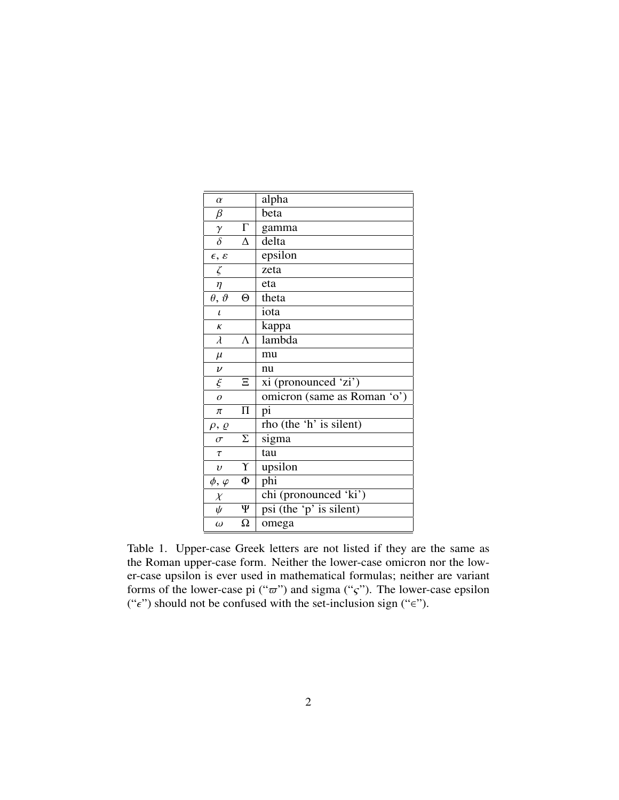| $\alpha$             |                   | alpha                                |
|----------------------|-------------------|--------------------------------------|
| $\beta$              |                   | beta                                 |
| $\gamma$             | $\Gamma$          | gamma                                |
| $\overline{\delta}$  | $\Delta$          | delta                                |
| $\epsilon, \epsilon$ |                   | epsilon                              |
| $\zeta$              |                   | zeta                                 |
| $\eta$               |                   | eta                                  |
| $\theta, \vartheta$  | $\Theta$          | theta                                |
| $\iota$              |                   | iota                                 |
| $\kappa$             |                   | kappa                                |
| $\lambda$            | $\Lambda$         | lambda                               |
| $\mu$                |                   | mu                                   |
| $\boldsymbol{\nu}$   |                   | nu                                   |
| $\xi$                | Ξ                 | xi (pronounced 'zi')                 |
| $\overline{o}$       |                   | omicron (same as Roman 'o')          |
| π                    | $\prod$           | pi                                   |
| $\rho$ , $\varrho$   |                   | rho (the 'h' is silent)              |
| $\sigma$             | Σ                 | sigma                                |
| $\tau$               |                   | tau                                  |
| $\upsilon$           | $\Upsilon$        | upsilon                              |
| $\phi, \varphi$      | Ф                 | phi                                  |
| $\chi$               |                   | chi (pronounced 'ki')                |
| $\psi$               | $\overline{\Psi}$ | $\overline{psi}$ (the 'p' is silent) |
| $\omega$             | $\Omega$          | omega                                |

Table 1. Upper-case Greek letters are not listed if they are the same as the Roman upper-case form. Neither the lower-case omicron nor the lower-case upsilon is ever used in mathematical formulas; neither are variant forms of the lower-case pi (" $\overline{\sigma}$ ") and sigma (" $\varsigma$ "). The lower-case epsilon (" $\epsilon$ ") should not be confused with the set-inclusion sign (" $\epsilon$ ").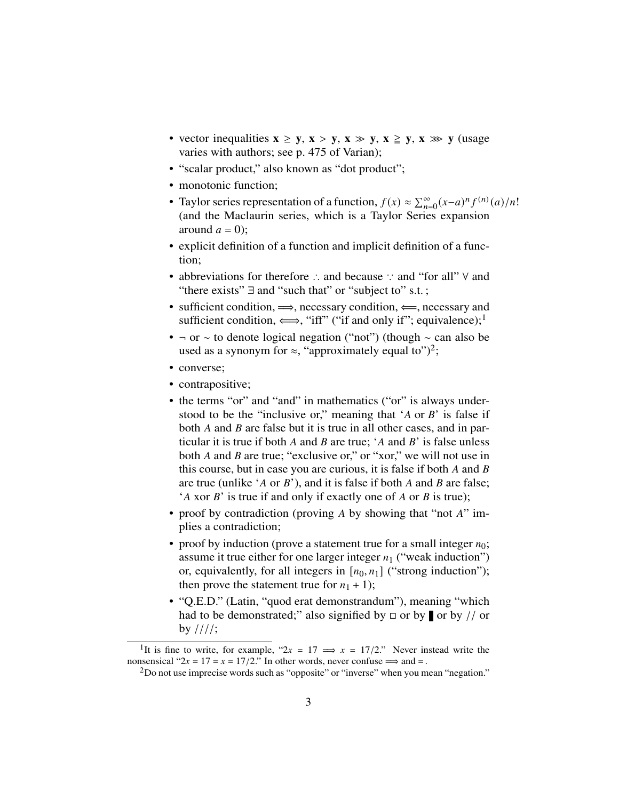- vector inequalities  $x \ge y$ ,  $x > y$ ,  $x \gg y$ ,  $x \ge y$ ,  $x \gg y$  (usage varies with authors; see p. 475 of Varian);
- "scalar product," also known as "dot product";
- monotonic function;
- Taylor series representation of a function,  $f(x) \approx \sum_{n=0}^{\infty} (x-a)^n f^{(n)}(a)/n!$ (and the Maclaurin series, which is a Taylor Series expansion around  $a = 0$ :
- explicit definition of a function and implicit definition of a function;
- abbreviations for therefore ∴ and because ∵ and "for all" ∀ and "there exists"  $\exists$  and "such that" or "subject to" s.t.:
- sufficient condition,  $\implies$ , necessary condition,  $\Longleftarrow$ , necessary and sufficient condition,  $\Longleftrightarrow$ , "iff" ("if and only if"; equivalence);<sup>1</sup>
- ¬ or ∼ to denote logical negation ("not") (though ∼ can also be used as a synonym for  $\approx$ , "approximately equal to")<sup>2</sup>;
- converse;
- contrapositive;
- the terms "or" and "and" in mathematics ("or" is always understood to be the "inclusive or," meaning that 'A or  $B$ ' is false if both  $A$  and  $B$  are false but it is true in all other cases, and in particular it is true if both  $A$  and  $B$  are true; ' $A$  and  $B$ ' is false unless both  $A$  and  $B$  are true; "exclusive or," or "xor," we will not use in this course, but in case you are curious, it is false if both  $A$  and  $B$ are true (unlike 'A or  $B$ '), and it is false if both A and B are false; 'A xor  $B$ ' is true if and only if exactly one of A or  $B$  is true);
- proof by contradiction (proving A by showing that "not  $A$ " implies a contradiction;
- proof by induction (prove a statement true for a small integer  $n_0$ ; assume it true either for one larger integer  $n_1$  ("weak induction") or, equivalently, for all integers in  $[n_0, n_1]$  ("strong induction"); then prove the statement true for  $n_1 + 1$ );
- "Q.E.D." (Latin, "quod erat demonstrandum"), meaning "which had to be demonstrated;" also signified by  $\Box$  or by  $\Box$  or by // or  $by$  ////;

<sup>&</sup>lt;sup>1</sup>It is fine to write, for example, " $2x = 17 \implies x = 17/2$ ." Never instead write the nonsensical " $2x = 17 = x = 17/2$ ." In other words, never confuse  $\implies$  and  $=$ .

<sup>&</sup>lt;sup>2</sup>Do not use imprecise words such as "opposite" or "inverse" when you mean "negation."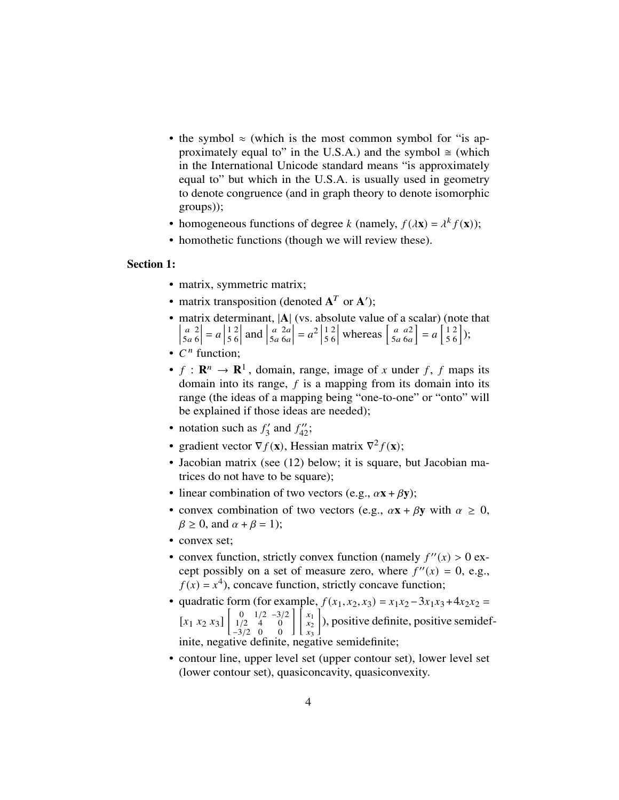- the symbol  $\approx$  (which is the most common symbol for "is approximately equal to" in the U.S.A.) and the symbol  $\approx$  (which in the International Unicode standard means "is approximately equal to" but which in the U.S.A. is usually used in geometry to denote congruence (and in graph theory to denote isomorphic groups));
- homogeneous functions of degree *k* (namely,  $f(\lambda \mathbf{x}) = \lambda^k f(\mathbf{x})$ );
- homothetic functions (though we will review these).

# Section 1:

- matrix, symmetric matrix;
- matrix transposition (denoted  $A^T$  or  $A'$ );
- matrix determinant, |A| (vs. absolute value of a scalar) (note that  $\begin{array}{c} \hline \end{array}$  $\overline{a}$ a 2<br>5a 6 6  $\vert = a \vert$ 1 5 2 6  $|$  and  $|$  $\overline{a}$  $5a$  $2a$ 6a  $= a^2$ 1 5 2 6 whereas  $\begin{bmatrix} a \\ 5c \end{bmatrix}$  $5a$ a2  $6a$  $= a \left[ \frac{1}{5} \right]$ 5 2 6  $\big]$ );
- $C<sup>n</sup>$  function;
- $f: \mathbf{R}^n \to \mathbf{R}^1$ , domain, range, image of x under f, f maps its domain into its range,  $f$  is a mapping from its domain into its range (the ideas of a mapping being "one-to-one" or "onto" will be explained if those ideas are needed);
- notation such as  $f'_{3}$  $\frac{3}{3}$  and  $f''_{42}$ ;
- gradient vector  $\nabla f(\mathbf{x})$ , Hessian matrix  $\nabla^2 f(\mathbf{x})$ ;
- Jacobian matrix (see (12) below; it is square, but Jacobian matrices do not have to be square);
- linear combination of two vectors (e.g.,  $\alpha x + \beta y$ );
- convex combination of two vectors (e.g.,  $\alpha x + \beta y$  with  $\alpha \geq 0$ ,  $\beta \geq 0$ , and  $\alpha + \beta = 1$ ;
- convex set:
- convex function, strictly convex function (namely  $f''(x) > 0$  except possibly on a set of measure zero, where  $f''(x) = 0$ , e.g.,  $f(x) = x<sup>4</sup>$ ), concave function, strictly concave function;
- quadratic form (for example,  $f(x_1, x_2, x_3) = x_1x_2 3x_1x_3 + 4x_2x_2 =$  $[x_1 \ x_2 \ x_3] \begin{bmatrix} 0 \\ 1 \end{bmatrix}$ 1/2 −3/2 1/2 4 0 −3/2  $\boldsymbol{0}$  $\boldsymbol{0}$  $\left| \right| x_1$  $\ddot{x_2}$  $\frac{1}{x_3}$  ), positive definite, positive semidefinite, negative definite, negative semidefinite;
- contour line, upper level set (upper contour set), lower level set (lower contour set), quasiconcavity, quasiconvexity.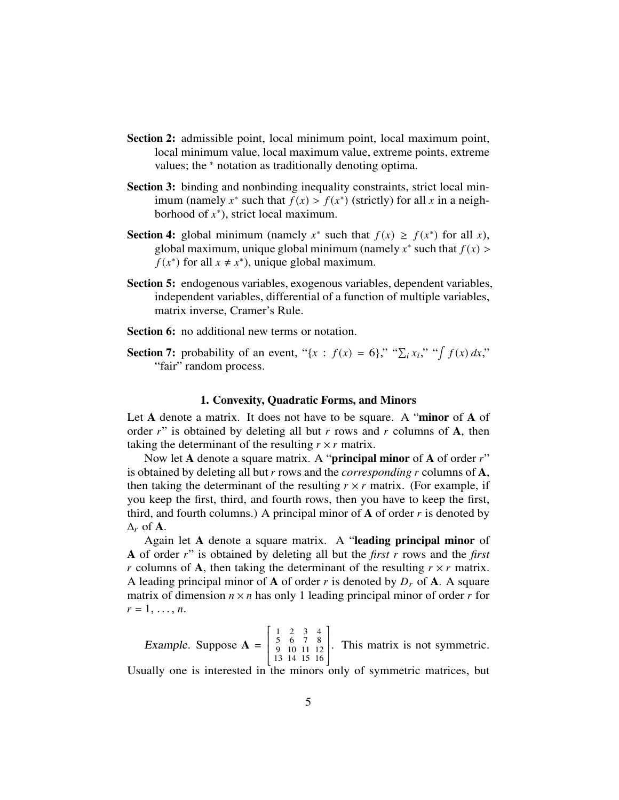- Section 2: admissible point, local minimum point, local maximum point, local minimum value, local maximum value, extreme points, extreme values; the <sup>∗</sup> notation as traditionally denoting optima.
- Section 3: binding and nonbinding inequality constraints, strict local minimum (namely  $x^*$  such that  $f(x) > f(x^*)$  (strictly) for all x in a neighborhood of  $x^*$ ), strict local maximum.
- **Section 4:** global minimum (namely  $x^*$  such that  $f(x) \ge f(x^*)$  for all x), global maximum, unique global minimum (namely  $x^*$  such that  $f(x)$ )  $f(x^*)$  for all  $x \neq x^*$ ), unique global maximum.
- Section 5: endogenous variables, exogenous variables, dependent variables, independent variables, differential of a function of multiple variables, matrix inverse, Cramer's Rule.

Section 6: no additional new terms or notation.

Section 7: probability of an event, " $\{x : f(x) = 6\}$ ," " $\sum_i x_i$ ," " $\int f(x) dx$ ," "fair" random process.

#### 1. Convexity, Quadratic Forms, and Minors

Let A denote a matrix. It does not have to be square. A "minor of A of order  $r$ " is obtained by deleting all but r rows and r columns of A, then taking the determinant of the resulting  $r \times r$  matrix.

Now let A denote a square matrix. A "**principal minor** of A of order  $r$ " is obtained by deleting all but  $r$  rows and the *corresponding*  $r$  columns of  $A$ , then taking the determinant of the resulting  $r \times r$  matrix. (For example, if you keep the first, third, and fourth rows, then you have to keep the first, third, and fourth columns.) A principal minor of  $\bf{A}$  of order  $\bf{r}$  is denoted by  $\Delta_r$  of **A**.

Again let A denote a square matrix. A "leading principal minor of A of order r" is obtained by deleting all but the *first* r rows and the *first* r columns of A, then taking the determinant of the resulting  $r \times r$  matrix. A leading principal minor of **A** of order r is denoted by  $D_r$  of **A**. A square matrix of dimension  $n \times n$  has only 1 leading principal minor of order r for  $r = 1, \ldots, n$ .

Example. Suppose  $A =$  $\overline{\mathsf{L}}$ 1 5 9 13 2 6 10 14 3 7 11 15 4 8 12 16  $\begin{array}{c} \begin{array}{c} \begin{array}{c} \end{array} \\ \begin{array}{c} \end{array} \end{array} \end{array}$ . This matrix is not symmetric.

Usually one is interested in the minors only of symmetric matrices, but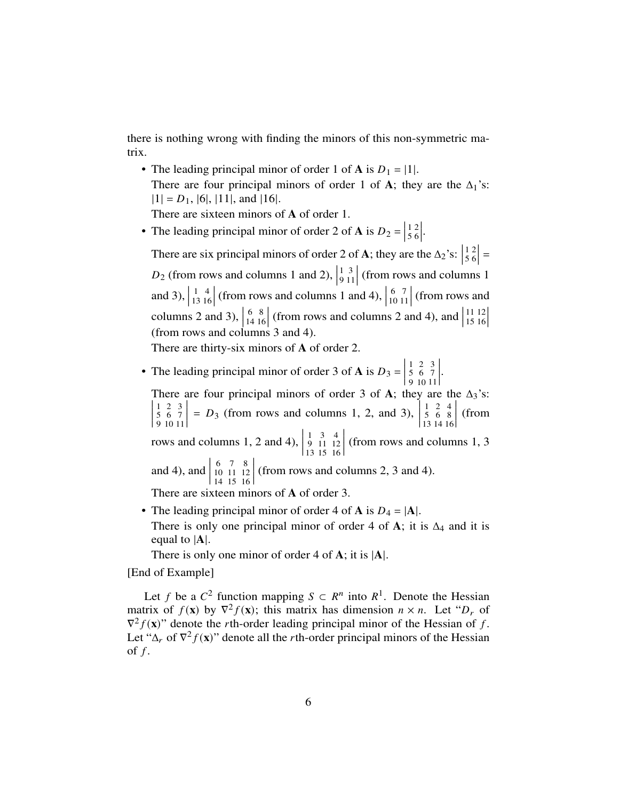there is nothing wrong with finding the minors of this non-symmetric matrix.

• The leading principal minor of order 1 of **A** is  $D_1 = |1|$ . There are four principal minors of order 1 of A; they are the  $\Delta_1$ 's:  $|1| = D_1$ , [6], [11], and [16]. There are sixteen minors of A of order 1.

• The leading principal minor of order 2 of **A** is  $D_2 = \begin{bmatrix} 1 & 0 \\ 0 & 0 \end{bmatrix}$ 

  . There are six principal minors of order 2 of **A**; they are the  $\Delta_2$ 's:  $\vert$  =  $D_2$  (from rows and columns 1 and 2),    (from rows and columns 1 and 3),  $\Big|$  (from rows and columns 1 and 4),  $\int$  (from rows and columns 2 and 3),  $\Big|$  (from rows and columns 2 and 4), and  $\left| \begin{array}{c} 2 & 1 \end{array} \right|$   $\begin{array}{c} \n \downarrow \\ \n \downarrow \\ \n \downarrow \n \end{array}$ (from rows and columns 3 and 4).

There are thirty-six minors of A of order 2.

• The leading principal minor of order 3 of **A** is  $D_3 = \begin{bmatrix} 1 & 0 \\ 0 & 0 \end{bmatrix}$   $\begin{array}{c} \begin{array}{c} \begin{array}{c} \begin{array}{c} \end{array} \\ \end{array} \\ \begin{array}{c} \end{array} \end{array} \end{array}$ .

There are four principal minors of order 3 of A; they are the  $\Delta_3$ 's:  $\begin{array}{c} \begin{array}{c} \begin{array}{c} \end{array} \\ \begin{array}{c} \end{array} \end{array} \end{array}$   $\begin{array}{c} \n\end{array}$ =  $D_3$  (from rows and columns 1, 2, and 3),  $\begin{array}{c} \begin{array}{c} \begin{array}{c} \end{array} \\ \begin{array}{c} \end{array} \end{array} \end{array}$ (from rows and columns 1, 2 and 4),  $\begin{array}{c} \hline \end{array}$   $\begin{array}{c} \hline \end{array}$ (from rows and columns 1, 3 and 4), and  $\begin{array}{c} \hline \end{array}$   $\begin{array}{c} \hline \end{array}$ (from rows and columns 2, 3 and 4).

There are sixteen minors of A of order 3.

- The leading principal minor of order 4 of **A** is  $D_4 = |A|$ . There is only one principal minor of order 4 of A; it is  $\Delta_4$  and it is equal to |A|.
	- There is only one minor of order 4 of  $\bf{A}$ ; it is  $|\bf{A}|$ .

[End of Example]

Let f be a  $C^2$  function mapping  $S \subset R^n$  into  $R^1$ . Denote the Hessian matrix of  $f(\mathbf{x})$  by  $\nabla^2 f(\mathbf{x})$ ; this matrix has dimension  $n \times n$ . Let " $D_r$  of  $\nabla^2 f(\mathbf{x})$ " denote the *r*th-order leading principal minor of the Hessian of f. Let " $\Delta_r$  of  $\nabla^2 f(\mathbf{x})$ " denote all the *r*th-order principal minors of the Hessian of  $f$ .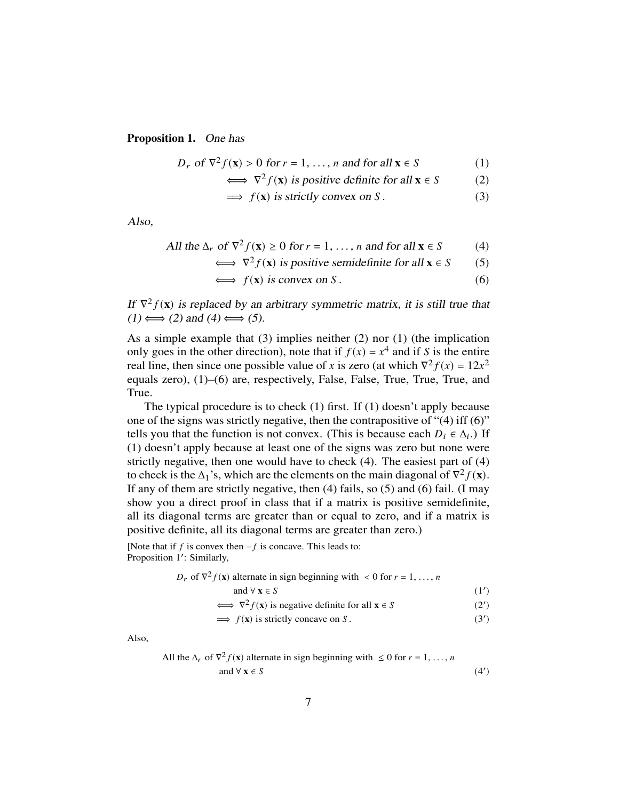Proposition 1. One has

$$
D_r \text{ of } \nabla^2 f(\mathbf{x}) > 0 \text{ for } r = 1, \dots, n \text{ and for all } \mathbf{x} \in S \tag{1}
$$

$$
\iff \nabla^2 f(\mathbf{x}) \text{ is positive definite for all } \mathbf{x} \in S \tag{2}
$$

$$
\implies f(\mathbf{x}) \text{ is strictly convex on } S. \tag{3}
$$

Also,

All the 
$$
\Delta_r
$$
 of  $\nabla^2 f(\mathbf{x}) \ge 0$  for  $r = 1, ..., n$  and for all  $\mathbf{x} \in S$  (4)

$$
\iff \nabla^2 f(\mathbf{x}) \text{ is positive semidefinite for all } \mathbf{x} \in S \tag{5}
$$

$$
\iff f(\mathbf{x}) \text{ is convex on } S. \tag{6}
$$

If  $\nabla^2 f(\mathbf{x})$  is replaced by an arbitrary symmetric matrix, it is still true that  $(1) \Longleftrightarrow (2)$  and  $(4) \Longleftrightarrow (5)$ .

As a simple example that (3) implies neither (2) nor (1) (the implication only goes in the other direction), note that if  $f(x) = x^4$  and if S is the entire real line, then since one possible value of x is zero (at which  $\nabla^2 f(x) = 12x^2$ equals zero), (1)–(6) are, respectively, False, False, True, True, True, and True.

The typical procedure is to check (1) first. If (1) doesn't apply because one of the signs was strictly negative, then the contrapositive of "(4) iff (6)" tells you that the function is not convex. (This is because each  $D_i \in \Delta_i$ .) If (1) doesn't apply because at least one of the signs was zero but none were strictly negative, then one would have to check (4). The easiest part of (4) to check is the  $\Delta_1$ 's, which are the elements on the main diagonal of  $\nabla^2 f(\mathbf{x})$ . If any of them are strictly negative, then (4) fails, so (5) and (6) fail. (I may show you a direct proof in class that if a matrix is positive semidefinite, all its diagonal terms are greater than or equal to zero, and if a matrix is positive definite, all its diagonal terms are greater than zero.)

[Note that if  $f$  is convex then  $-f$  is concave. This leads to: Proposition 1': Similarly,

$$
D_r
$$
 of  $\nabla^2 f(\mathbf{x})$  alternate in sign beginning with  $< 0$  for  $r = 1, ..., n$ 

$$
and \forall x \in S \tag{1'}
$$

$$
\iff \nabla^2 f(\mathbf{x}) \text{ is negative definite for all } \mathbf{x} \in S \tag{2'}
$$

$$
\implies f(\mathbf{x}) \text{ is strictly concave on } S. \tag{3'}
$$

Also,

All the 
$$
\Delta_r
$$
 of  $\nabla^2 f(\mathbf{x})$  alternate in sign beginning with  $\leq 0$  for  $r = 1, ..., n$   
and  $\forall \mathbf{x} \in S$  (4')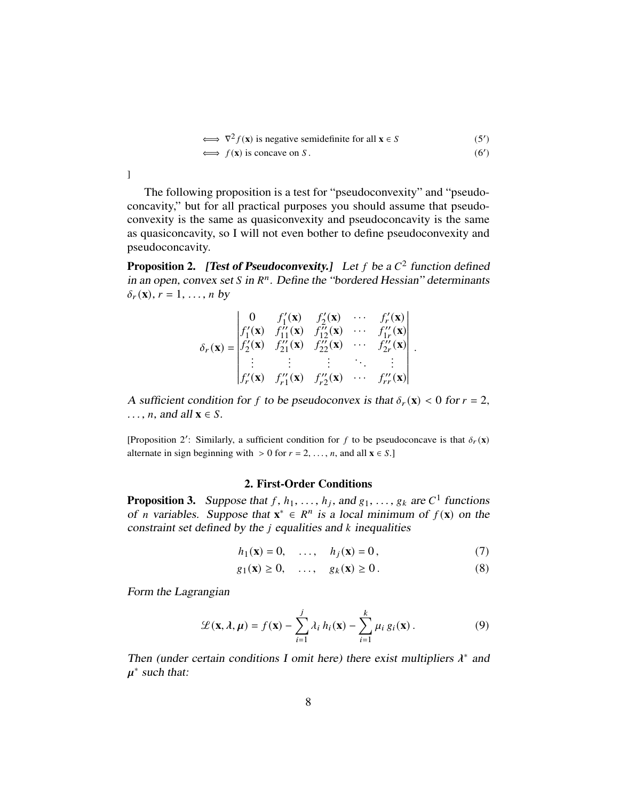$$
\iff \nabla^2 f(\mathbf{x}) \text{ is negative semidefinite for all } \mathbf{x} \in S \tag{5'}\iff f(\mathbf{x}) \text{ is concave on } S. \tag{6'}
$$

The following proposition is a test for "pseudoconvexity" and "pseudoconcavity," but for all practical purposes you should assume that pseudoconvexity is the same as quasiconvexity and pseudoconcavity is the same as quasiconcavity, so I will not even bother to define pseudoconvexity and pseudoconcavity.

**Proposition 2.** [Test of Pseudoconvexity.] Let f be a  $C^2$  function defined in an open, convex set S in  $R<sup>n</sup>$ . Define the "bordered Hessian" determinants  $\delta_r(\mathbf{x}), r = 1, \ldots, n$  by

$$
\delta_r(\mathbf{x}) = \begin{vmatrix}\n0 & f'_1(\mathbf{x}) & f'_2(\mathbf{x}) & \cdots & f'_r(\mathbf{x}) \\
f'_1(\mathbf{x}) & f''_{11}(\mathbf{x}) & f''_{12}(\mathbf{x}) & \cdots & f''_{1r}(\mathbf{x}) \\
f'_2(\mathbf{x}) & f''_{21}(\mathbf{x}) & f''_{22}(\mathbf{x}) & \cdots & f''_{2r}(\mathbf{x}) \\
\vdots & \vdots & \vdots & \ddots & \vdots \\
f'_r(\mathbf{x}) & f''_{r1}(\mathbf{x}) & f''_{r2}(\mathbf{x}) & \cdots & f''_{rr}(\mathbf{x})\n\end{vmatrix}.
$$

A sufficient condition for f to be pseudoconvex is that  $\delta_r(\mathbf{x}) < 0$  for  $r = 2$ ,  $\ldots$ , *n*, and all  $x \in S$ .

[Proposition 2': Similarly, a sufficient condition for f to be pseudoconcave is that  $\delta_r(\mathbf{x})$ alternate in sign beginning with  $> 0$  for  $r = 2, \ldots, n$ , and all  $\mathbf{x} \in S$ .

# 2. First-Order Conditions

**Proposition 3.** Suppose that  $f$ ,  $h_1$ , ...,  $h_j$ , and  $g_1$ , ...,  $g_k$  are  $C^1$  functions of *n* variables. Suppose that  $x^* \in R^n$  is a local minimum of  $f(x)$  on the constraint set defined by the  $j$  equalities and  $k$  inequalities

$$
h_1(\mathbf{x}) = 0, \quad \dots, \quad h_j(\mathbf{x}) = 0, \tag{7}
$$

$$
g_1(\mathbf{x}) \ge 0, \quad \dots, \quad g_k(\mathbf{x}) \ge 0. \tag{8}
$$

Form the Lagrangian

$$
\mathcal{L}(\mathbf{x}, \lambda, \mu) = f(\mathbf{x}) - \sum_{i=1}^{j} \lambda_i h_i(\mathbf{x}) - \sum_{i=1}^{k} \mu_i g_i(\mathbf{x}).
$$
\n(9)

Then (under certain conditions I omit here) there exist multipliers  $\lambda^*$  and  $\mu^*$  such that:

]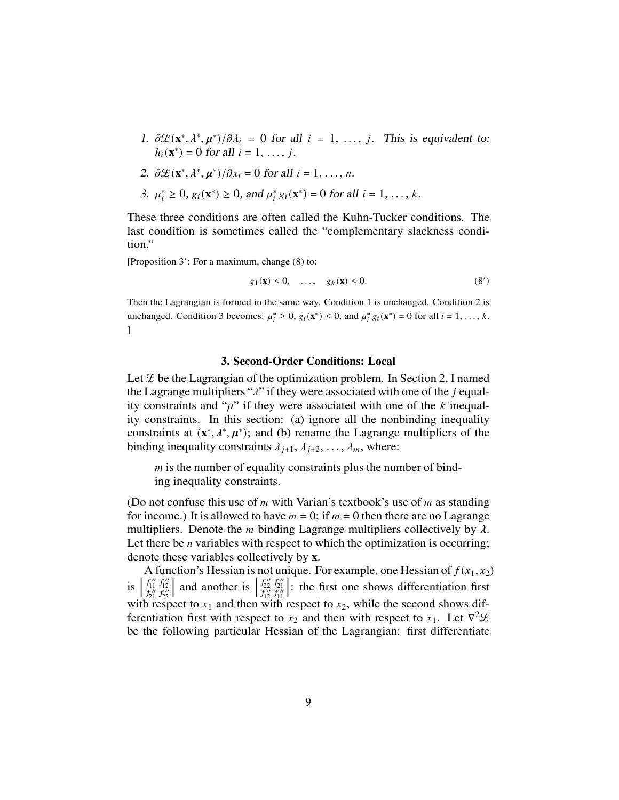- 1.  $\partial \mathcal{L}(\mathbf{x}^*, \lambda^*, \mu^*)/\partial \lambda_i = 0$  for all  $i = 1, \ldots, j$ . This is equivalent to:  $h_i(\mathbf{x}^*) = 0$  for all  $i = 1, \ldots, j$ .
- 2.  $\partial \mathcal{L}(\mathbf{x}^*, \lambda^*, \mu^*)/\partial x_i = 0$  for all  $i = 1, ..., n$ .
- 3.  $\mu_i^* \geq 0$ ,  $g_i(\mathbf{x}^*) \geq 0$ , and  $\mu_i^* g_i(\mathbf{x}^*) = 0$  for all  $i = 1, ..., k$ .

These three conditions are often called the Kuhn-Tucker conditions. The last condition is sometimes called the "complementary slackness condition."

[Proposition  $3'$ : For a maximum, change  $(8)$  to:

$$
g_1(\mathbf{x}) \le 0, \quad \dots, \quad g_k(\mathbf{x}) \le 0. \tag{8'}
$$

Then the Lagrangian is formed in the same way. Condition 1 is unchanged. Condition 2 is unchanged. Condition 3 becomes:  $\mu_i^* \geq 0$ ,  $g_i(\mathbf{x}^*) \leq 0$ , and  $\mu_i^* g_i(\mathbf{x}^*) = 0$  for all  $i = 1, ..., k$ .  $\mathbf{I}$ 

#### 3. Second-Order Conditions: Local

Let  $\mathcal L$  be the Lagrangian of the optimization problem. In Section 2, I named the Lagrange multipliers " $\lambda$ " if they were associated with one of the *j* equality constraints and " $\mu$ " if they were associated with one of the k inequality constraints. In this section: (a) ignore all the nonbinding inequality constraints at  $(x^*, \lambda^*, \mu^*)$ ; and (b) rename the Lagrange multipliers of the binding inequality constraints  $\lambda_{j+1}, \lambda_{j+2}, \ldots, \lambda_m$ , where:

 $m$  is the number of equality constraints plus the number of binding inequality constraints.

(Do not confuse this use of  $m$  with Varian's textbook's use of  $m$  as standing for income.) It is allowed to have  $m = 0$ ; if  $m = 0$  then there are no Lagrange multipliers. Denote the *m* binding Lagrange multipliers collectively by  $\lambda$ . Let there be  $n$  variables with respect to which the optimization is occurring; denote these variables collectively by x.

A function's Hessian is not unique. For example, one Hessian of  $f(x_1, x_2)$ is  $\begin{bmatrix} f''_1 \\ f''_2 \\ f''_3 \end{bmatrix}$  $f_{12}''$ <br> $f_{22}''$ and another is  $\begin{bmatrix} f_{22}^{\prime\prime} \\ f_{12}^{\prime\prime} \end{bmatrix}$  $f''_{21}$ <br> $f''_{11}$ i : the first one shows differentiation first with respect to  $x_1$  and then with respect to  $x_2$ , while the second shows differentiation first with respect to  $x_2$  and then with respect to  $x_1$ . Let  $\nabla^2 \mathcal{L}$ be the following particular Hessian of the Lagrangian: first differentiate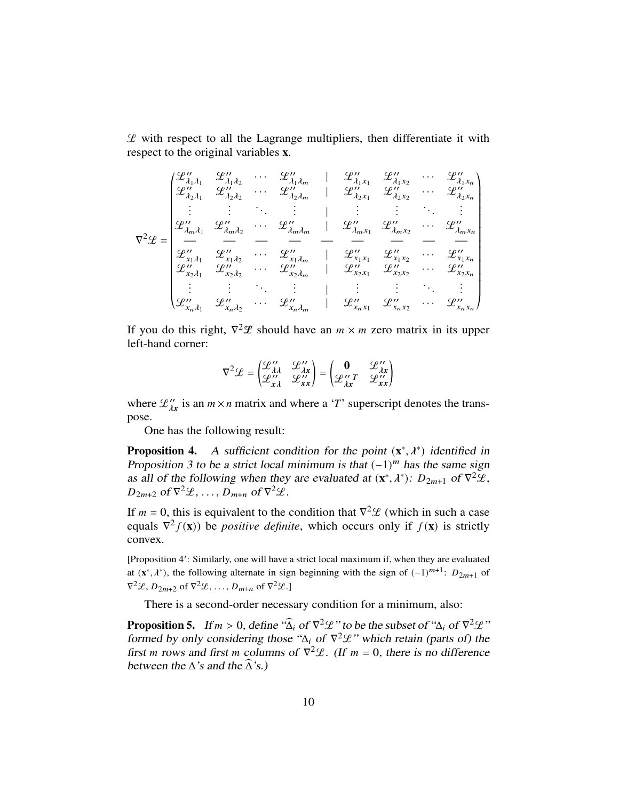$L$  with respect to all the Lagrange multipliers, then differentiate it with respect to the original variables x.

$$
\nabla^{2} \mathcal{L} = \begin{pmatrix}\n\mathcal{L}_{\lambda_{1} \lambda_{1}} & \mathcal{L}_{\lambda_{1} \lambda_{2}} & \cdots & \mathcal{L}_{\lambda_{1} \lambda_{m}} & \mathcal{L}_{\lambda_{1} \lambda_{1}} & \mathcal{L}_{\lambda_{1} \lambda_{2}} & \cdots & \mathcal{L}_{\lambda_{1} \lambda_{n}} \\
\mathcal{L}_{\lambda_{2} \lambda_{1}} & \mathcal{L}_{\lambda_{2} \lambda_{2}} & \cdots & \mathcal{L}_{\lambda_{2} \lambda_{m}} & \mathcal{L}_{\lambda_{2} \lambda_{1}} & \mathcal{L}_{\lambda_{2} \lambda_{2}} & \cdots & \mathcal{L}_{\lambda_{2} \lambda_{n}} \\
\vdots & \vdots & \ddots & \vdots & \vdots & \vdots & \vdots & \vdots \\
\mathcal{L}_{\lambda_{m} \lambda_{1}} & \mathcal{L}_{\lambda_{m} \lambda_{2}} & \cdots & \mathcal{L}_{\lambda_{m} \lambda_{m}} & \mathcal{L}_{\lambda_{m} \lambda_{1}} & \mathcal{L}_{\lambda_{m} \lambda_{2}} & \cdots & \mathcal{L}_{\lambda_{m} \lambda_{m}} \\
\vdots & \vdots & \ddots & \vdots & \vdots & \vdots & \vdots \\
\mathcal{L}_{\lambda_{m} \lambda_{1}} & \mathcal{L}_{\lambda_{m} \lambda_{2}} & \cdots & \mathcal{L}_{\lambda_{m} \lambda_{m}} & \mathcal{L}_{\lambda_{m} \lambda_{1}} & \mathcal{L}_{\lambda_{m} \lambda_{2}} & \cdots & \mathcal{L}_{\lambda_{m} \lambda_{m}} \\
\mathcal{L}_{\lambda_{1} \lambda_{1}} & \mathcal{L}_{\lambda_{1} \lambda_{2}} & \cdots & \mathcal{L}_{\lambda_{1} \lambda_{m}} & \mathcal{L}_{\lambda_{1} \lambda_{1}} & \mathcal{L}_{\lambda_{1} \lambda_{1}} & \mathcal{L}_{\lambda_{1} \lambda_{2}} & \cdots & \mathcal{L}_{\lambda_{1} \lambda_{n}} \\
\vdots & \vdots & \vdots & \ddots & \vdots & \vdots & \vdots & \vdots \\
\mathcal{L}_{\lambda_{n} \lambda_{1}} & \mathcal{L}_{\lambda_{n} \lambda_{2}} & \cdots & \mathcal{L}_{\lambda_{n} \lambda_{m}} & \mathcal{L}_{\lambda_{2} \lambda_{1}} & \mathcal{L}_{\lambda
$$

If you do this right,  $\nabla^2 \mathcal{L}$  should have an  $m \times m$  zero matrix in its upper left-hand corner:

$$
\nabla^2 \mathcal{L} = \begin{pmatrix} \mathcal{L}_{\lambda\lambda}^{\prime\prime} & \mathcal{L}_{\lambda x}^{\prime\prime} \\ \mathcal{L}_{\lambda\lambda}^{\prime\prime} & \mathcal{L}_{xx}^{\prime\prime} \end{pmatrix} = \begin{pmatrix} \mathbf{0} & \mathcal{L}_{\lambda x}^{\prime\prime} \\ \mathcal{L}_{\lambda x}^{\prime\prime\prime} & \mathcal{L}_{xx}^{\prime\prime} \end{pmatrix}
$$

where  $\mathcal{L}_{\lambda x}^{\prime\prime}$  is an  $m \times n$  matrix and where a '*T*' superscript denotes the transpose.

One has the following result:

**Proposition 4.** A sufficient condition for the point  $(x^*, \lambda^*)$  identified in Proposition 3 to be a strict local minimum is that  $(-1)^m$  has the same sign as all of the following when they are evaluated at  $(\mathbf{x}^*, \lambda^*)$ :  $D_{2m+1}$  of  $\nabla^2 \mathcal{L}$ ,  $D_{2m+2}$  of  $\nabla^2 \mathcal{L}, \ldots, D_{m+n}$  of  $\nabla^2 \mathcal{L}$ .

If  $m = 0$ , this is equivalent to the condition that  $\nabla^2 \mathcal{L}$  (which in such a case equals  $\nabla^2 f(\mathbf{x})$ ) be *positive definite*, which occurs only if  $f(\mathbf{x})$  is strictly convex.

[Proposition 4': Similarly, one will have a strict local maximum if, when they are evaluated at  $(x^*, \lambda^*)$ , the following alternate in sign beginning with the sign of  $(-1)^{m+1}$ :  $D_{2m+1}$  of  $\nabla^2 \mathcal{L}, D_{2m+2}$  of  $\nabla^2 \mathcal{L}, \ldots, D_{m+n}$  of  $\nabla^2 \mathcal{L}.$ 

There is a second-order necessary condition for a minimum, also:

**Proposition 5.** If  $m > 0$ , define " $\widehat{\Delta}_i$  of  $\nabla^2 \mathcal{L}$ " to be the subset of " $\Delta_i$  of  $\nabla^2 \mathcal{L}$ " formed by only considering those " $\Delta_i$  of  $\nabla^2 \mathcal{L}$ " which retain (parts of) the first *m* rows and first *m* columns of  $\nabla^2 \mathcal{L}$ . (If *m* = 0, there is no difference between the  $\Delta$ 's and the  $\widehat{\Delta}$ 's.)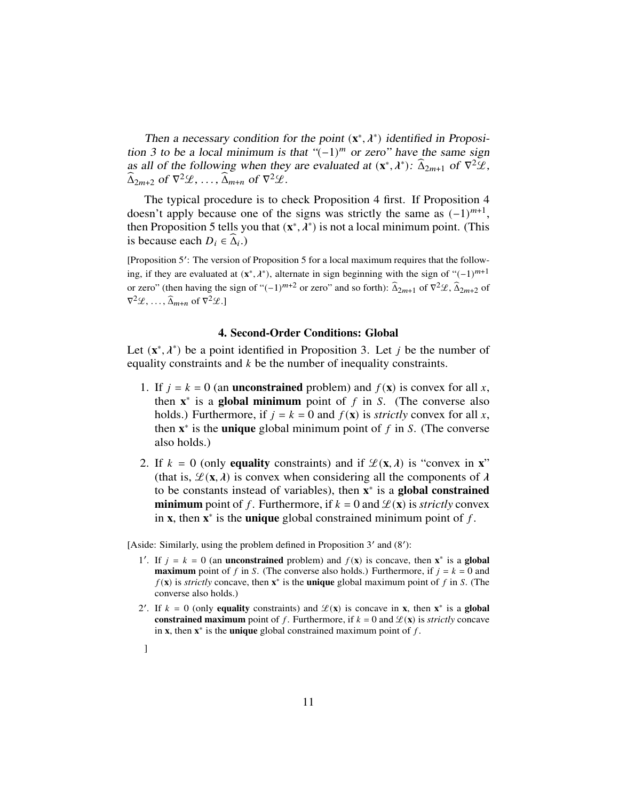Then a necessary condition for the point  $(x^*, \lambda^*)$  identified in Proposition 3 to be a local minimum is that  $((-1)^m$  or zero" have the same sign as all of the following when they are evaluated at  $(\mathbf{x}^*, \lambda^*)$ :  $\widehat{\Delta}_{2m+1}$  of  $\nabla^2 \mathcal{L}$ ,  $\widehat{\Delta}_{2m+2}$  of  $\nabla^2 \mathcal{L}, \ldots, \widehat{\Delta}_{m+n}$  of  $\nabla^2 \mathcal{L}.$ 

The typical procedure is to check Proposition 4 first. If Proposition 4 doesn't apply because one of the signs was strictly the same as  $(-1)^{m+1}$ , then Proposition 5 tells you that  $(x^*, \lambda^*)$  is not a local minimum point. (This is because each  $D_i \in \widehat{\Delta}_i$ .)

[Proposition 5': The version of Proposition 5 for a local maximum requires that the following, if they are evaluated at  $(x^*, \lambda^*)$ , alternate in sign beginning with the sign of " $(-1)^{m+1}$ or zero" (then having the sign of " $(-1)^{m+2}$  or zero" and so forth):  $\hat{\Delta}_{2m+1}$  of  $\nabla^2 \mathcal{L}, \hat{\Delta}_{2m+2}$  of  $\nabla^2 \mathcal{L}, \ldots, \widehat{\Delta}_{m+n}$  of  $\nabla^2 \mathcal{L}.$ 

# 4. Second-Order Conditions: Global

Let  $(x^*, \lambda^*)$  be a point identified in Proposition 3. Let *j* be the number of equality constraints and  $k$  be the number of inequality constraints.

- 1. If  $j = k = 0$  (an **unconstrained** problem) and  $f(\mathbf{x})$  is convex for all x, then  $x^*$  is a global minimum point of  $f$  in  $S$ . (The converse also holds.) Furthermore, if  $j = k = 0$  and  $f(x)$  is *strictly* convex for all x, then  $x^*$  is the **unique** global minimum point of  $f$  in  $S$ . (The converse also holds.)
- 2. If  $k = 0$  (only equality constraints) and if  $\mathcal{L}(\mathbf{x}, \lambda)$  is "convex in  $\mathbf{x}$ " (that is,  $\mathcal{L}(\mathbf{x}, \lambda)$  is convex when considering all the components of  $\lambda$ to be constants instead of variables), then  $x^*$  is a global constrained **minimum** point of f. Furthermore, if  $k = 0$  and  $\mathcal{L}(\mathbf{x})$  is *strictly* convex in **x**, then  $x^*$  is the **unique** global constrained minimum point of  $f$ .

[Aside: Similarly, using the problem defined in Proposition 3' and (8'):

- 1'. If  $j = k = 0$  (an unconstrained problem) and  $f(x)$  is concave, then  $x^*$  is a global **maximum** point of f in S. (The converse also holds.) Furthermore, if  $j = k = 0$  and  $f(\mathbf{x})$  is *strictly* concave, then  $\mathbf{x}^*$  is the **unique** global maximum point of  $f$  in  $S$ . (The converse also holds.)
- 2'. If  $k = 0$  (only equality constraints) and  $\mathcal{L}(x)$  is concave in x, then  $x^*$  is a global constrained maximum point of f. Furthermore, if  $k = 0$  and  $\mathcal{L}(x)$  is *strictly* concave in **x**, then  $x^*$  is the **unique** global constrained maximum point of f.
- ]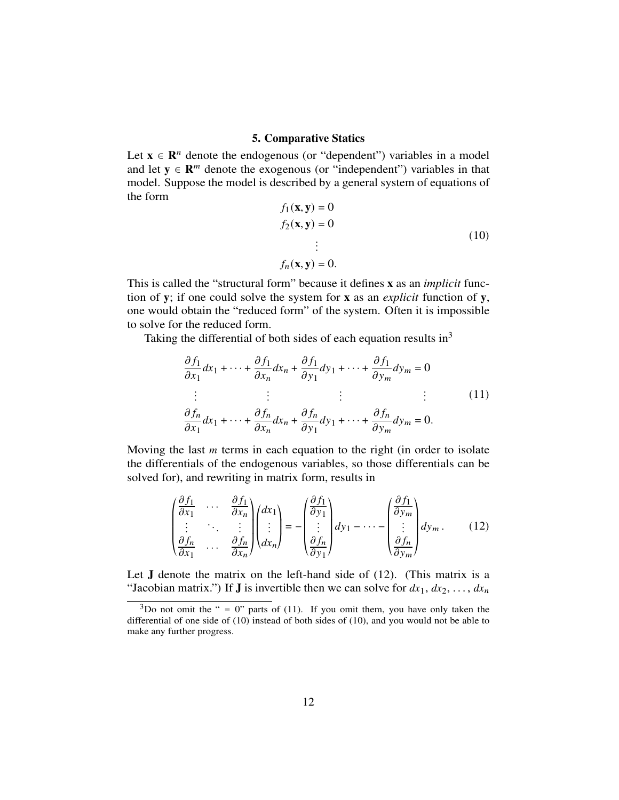# 5. Comparative Statics

Let  $x \in \mathbb{R}^n$  denote the endogenous (or "dependent") variables in a model and let  $y \in \mathbb{R}^m$  denote the exogenous (or "independent") variables in that model. Suppose the model is described by a general system of equations of the form

$$
f_1(\mathbf{x}, \mathbf{y}) = 0
$$
  
\n
$$
f_2(\mathbf{x}, \mathbf{y}) = 0
$$
  
\n
$$
\vdots
$$
  
\n
$$
f_n(\mathbf{x}, \mathbf{y}) = 0.
$$
\n(10)

This is called the "structural form" because it defines x as an *implicit* function of y; if one could solve the system for x as an *explicit* function of y, one would obtain the "reduced form" of the system. Often it is impossible to solve for the reduced form.

Taking the differential of both sides of each equation results in<sup>3</sup>

$$
\frac{\partial f_1}{\partial x_1} dx_1 + \dots + \frac{\partial f_1}{\partial x_n} dx_n + \frac{\partial f_1}{\partial y_1} dy_1 + \dots + \frac{\partial f_1}{\partial y_m} dy_m = 0
$$
\n
$$
\vdots \qquad \vdots \qquad \vdots \qquad \vdots \qquad \vdots \qquad \vdots
$$
\n
$$
\frac{\partial f_n}{\partial x_1} dx_1 + \dots + \frac{\partial f_n}{\partial x_n} dx_n + \frac{\partial f_n}{\partial y_1} dy_1 + \dots + \frac{\partial f_n}{\partial y_m} dy_m = 0.
$$
\n(11)

Moving the last  *terms in each equation to the right (in order to isolate* the differentials of the endogenous variables, so those differentials can be solved for), and rewriting in matrix form, results in

$$
\begin{pmatrix}\n\frac{\partial f_1}{\partial x_1} & \cdots & \frac{\partial f_1}{\partial x_n} \\
\vdots & \ddots & \vdots \\
\frac{\partial f_n}{\partial x_1} & \cdots & \frac{\partial f_n}{\partial x_n}\n\end{pmatrix}\n\begin{pmatrix}\ndx_1 \\
\vdots \\
dx_n\n\end{pmatrix} = -\begin{pmatrix}\n\frac{\partial f_1}{\partial y_1} \\
\vdots \\
\frac{\partial f_n}{\partial y_1}\n\end{pmatrix} dy_1 - \cdots - \begin{pmatrix}\n\frac{\partial f_1}{\partial y_m} \\
\vdots \\
\frac{\partial f_n}{\partial y_m}\n\end{pmatrix} dy_m.
$$
\n(12)

Let  $J$  denote the matrix on the left-hand side of  $(12)$ . (This matrix is a "Jacobian matrix.") If **J** is invertible then we can solve for  $dx_1, dx_2, \ldots, dx_n$ 

 $3$ Do not omit the " = 0" parts of (11). If you omit them, you have only taken the differential of one side of (10) instead of both sides of (10), and you would not be able to make any further progress.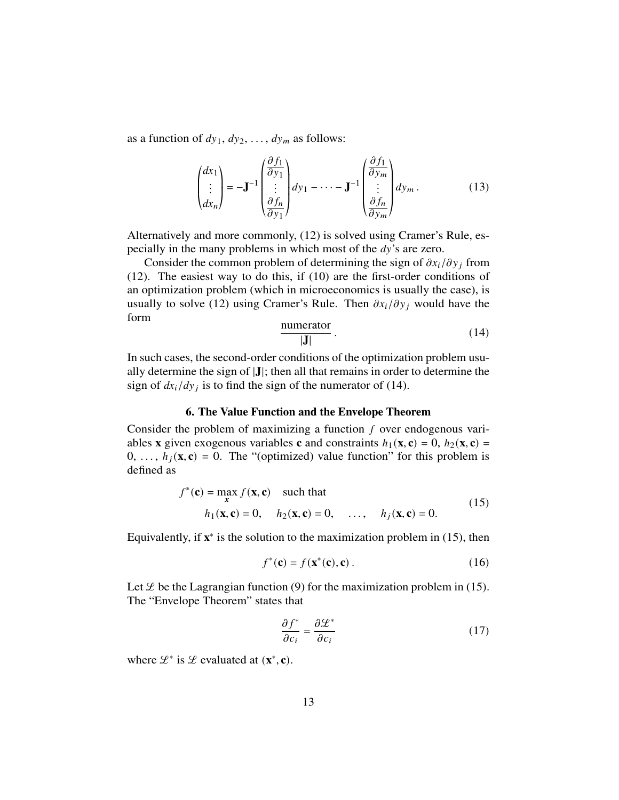as a function of  $dy_1$ ,  $dy_2$ , ...,  $dy_m$  as follows:

$$
\begin{pmatrix} dx_1 \\ \vdots \\ dx_n \end{pmatrix} = -\mathbf{J}^{-1} \begin{pmatrix} \frac{\partial f_1}{\partial y_1} \\ \vdots \\ \frac{\partial f_n}{\partial y_1} \end{pmatrix} dy_1 - \dots - \mathbf{J}^{-1} \begin{pmatrix} \frac{\partial f_1}{\partial y_m} \\ \vdots \\ \frac{\partial f_n}{\partial y_m} \end{pmatrix} dy_m.
$$
 (13)

Alternatively and more commonly, (12) is solved using Cramer's Rule, especially in the many problems in which most of the  $dy$ 's are zero.

Consider the common problem of determining the sign of  $\partial x_i/\partial y_j$  from (12). The easiest way to do this, if (10) are the first-order conditions of an optimization problem (which in microeconomics is usually the case), is usually to solve (12) using Cramer's Rule. Then  $\partial x_i/\partial y_j$  would have the form

$$
\frac{\text{numerator}}{|\mathbf{J}|} \tag{14}
$$

In such cases, the second-order conditions of the optimization problem usually determine the sign of |J|; then all that remains in order to determine the sign of  $dx_i/dy_j$  is to find the sign of the numerator of (14).

#### 6. The Value Function and the Envelope Theorem

Consider the problem of maximizing a function  $f$  over endogenous variables x given exogenous variables c and constraints  $h_1(x, c) = 0$ ,  $h_2(x, c) =$  $0, \ldots, h_i(\mathbf{x}, \mathbf{c}) = 0$ . The "(optimized) value function" for this problem is defined as

$$
f^*(\mathbf{c}) = \max_{\mathbf{x}} f(\mathbf{x}, \mathbf{c}) \quad \text{such that} \quad h_1(\mathbf{x}, \mathbf{c}) = 0, \quad h_2(\mathbf{x}, \mathbf{c}) = 0, \quad \dots, \quad h_j(\mathbf{x}, \mathbf{c}) = 0.
$$
 (15)

Equivalently, if  $x^*$  is the solution to the maximization problem in (15), then

$$
f^*(\mathbf{c}) = f(\mathbf{x}^*(\mathbf{c}), \mathbf{c}) \,. \tag{16}
$$

Let  $\mathcal L$  be the Lagrangian function (9) for the maximization problem in (15). The "Envelope Theorem" states that

$$
\frac{\partial f^*}{\partial c_i} = \frac{\partial \mathcal{L}^*}{\partial c_i} \tag{17}
$$

where  $\mathcal{L}^*$  is  $\mathcal{L}$  evaluated at  $(\mathbf{x}^*, \mathbf{c})$ .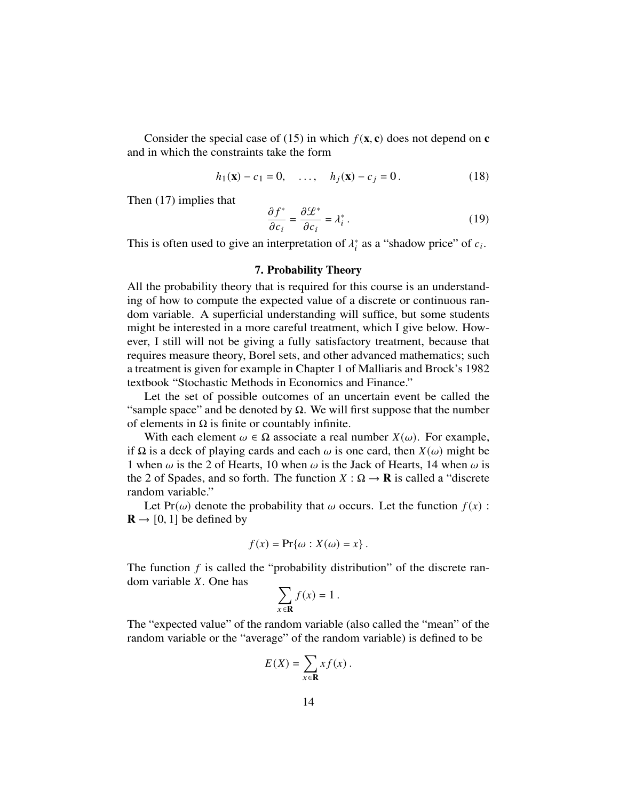Consider the special case of (15) in which  $f(\mathbf{x}, \mathbf{c})$  does not depend on  $\mathbf{c}$ and in which the constraints take the form

$$
h_1(\mathbf{x}) - c_1 = 0, \quad \dots, \quad h_j(\mathbf{x}) - c_j = 0. \tag{18}
$$

Then (17) implies that

$$
\frac{\partial f^*}{\partial c_i} = \frac{\partial \mathcal{L}^*}{\partial c_i} = \lambda_i^* \,. \tag{19}
$$

This is often used to give an interpretation of  $\lambda_i^*$  as a "shadow price" of  $c_i$ .

# 7. Probability Theory

All the probability theory that is required for this course is an understanding of how to compute the expected value of a discrete or continuous random variable. A superficial understanding will suffice, but some students might be interested in a more careful treatment, which I give below. However, I still will not be giving a fully satisfactory treatment, because that requires measure theory, Borel sets, and other advanced mathematics; such a treatment is given for example in Chapter 1 of Malliaris and Brock's 1982 textbook "Stochastic Methods in Economics and Finance."

Let the set of possible outcomes of an uncertain event be called the "sample space" and be denoted by  $\Omega$ . We will first suppose that the number of elements in  $\Omega$  is finite or countably infinite.

With each element  $\omega \in \Omega$  associate a real number  $X(\omega)$ . For example, if Ω is a deck of playing cards and each  $ω$  is one card, then  $X(ω)$  might be 1 when  $\omega$  is the 2 of Hearts, 10 when  $\omega$  is the Jack of Hearts, 14 when  $\omega$  is the 2 of Spades, and so forth. The function  $X : \Omega \to \mathbf{R}$  is called a "discrete" random variable."

Let Pr( $\omega$ ) denote the probability that  $\omega$  occurs. Let the function  $f(x)$ :  $\mathbf{R} \rightarrow [0, 1]$  be defined by

$$
f(x) = \Pr{\omega : X(\omega) = x}.
$$

The function  $f$  is called the "probability distribution" of the discrete random variable  $X$ . One has

$$
\sum_{x \in \mathbf{R}} f(x) = 1 \, .
$$

The "expected value" of the random variable (also called the "mean" of the random variable or the "average" of the random variable) is defined to be

$$
E(X) = \sum_{x \in \mathbf{R}} x f(x) \, .
$$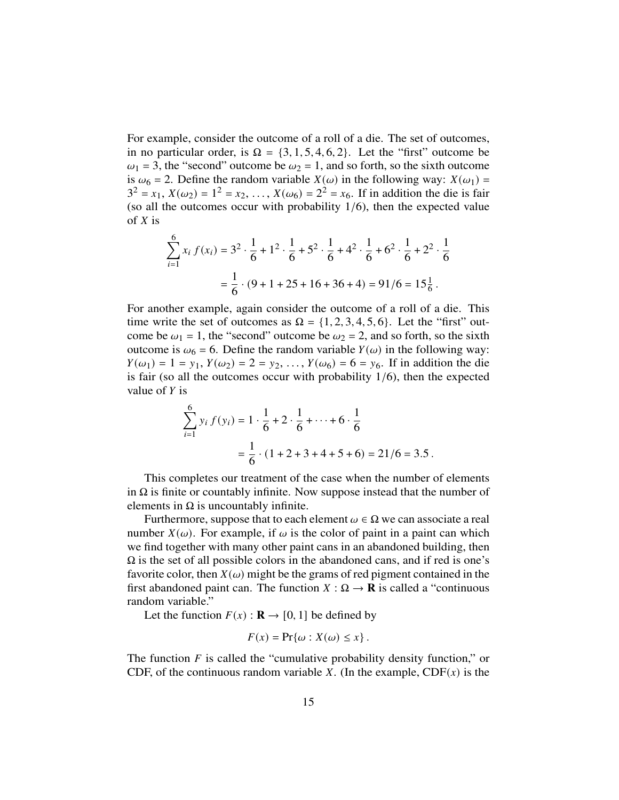For example, consider the outcome of a roll of a die. The set of outcomes, in no particular order, is  $\Omega = \{3, 1, 5, 4, 6, 2\}$ . Let the "first" outcome be  $\omega_1$  = 3, the "second" outcome be  $\omega_2$  = 1, and so forth, so the sixth outcome is  $\omega_6 = 2$ . Define the random variable  $X(\omega)$  in the following way:  $X(\omega_1) =$  $3^2 = x_1, X(\omega_2) = 1^2 = x_2, ..., X(\omega_6) = 2^2 = x_6$ . If in addition the die is fair (so all the outcomes occur with probability  $1/6$ ), then the expected value of  $X$  is

$$
\sum_{i=1}^{6} x_i f(x_i) = 3^2 \cdot \frac{1}{6} + 1^2 \cdot \frac{1}{6} + 5^2 \cdot \frac{1}{6} + 4^2 \cdot \frac{1}{6} + 6^2 \cdot \frac{1}{6} + 2^2 \cdot \frac{1}{6}
$$

$$
= \frac{1}{6} \cdot (9 + 1 + 25 + 16 + 36 + 4) = 91/6 = 15\frac{1}{6}.
$$

For another example, again consider the outcome of a roll of a die. This time write the set of outcomes as  $\Omega = \{1, 2, 3, 4, 5, 6\}$ . Let the "first" outcome be  $\omega_1 = 1$ , the "second" outcome be  $\omega_2 = 2$ , and so forth, so the sixth outcome is  $\omega_6 = 6$ . Define the random variable  $Y(\omega)$  in the following way:  $Y(\omega_1) = 1 = y_1, Y(\omega_2) = 2 = y_2, ..., Y(\omega_6) = 6 = y_6$ . If in addition the die is fair (so all the outcomes occur with probability  $1/6$ ), then the expected value of  $Y$  is

$$
\sum_{i=1}^{6} y_i f(y_i) = 1 \cdot \frac{1}{6} + 2 \cdot \frac{1}{6} + \dots + 6 \cdot \frac{1}{6}
$$

$$
= \frac{1}{6} \cdot (1 + 2 + 3 + 4 + 5 + 6) = 21/6 = 3.5.
$$

This completes our treatment of the case when the number of elements in  $\Omega$  is finite or countably infinite. Now suppose instead that the number of elements in  $\Omega$  is uncountably infinite.

Furthermore, suppose that to each element  $\omega \in \Omega$  we can associate a real number  $X(\omega)$ . For example, if  $\omega$  is the color of paint in a paint can which we find together with many other paint cans in an abandoned building, then  $\Omega$  is the set of all possible colors in the abandoned cans, and if red is one's favorite color, then  $X(\omega)$  might be the grams of red pigment contained in the first abandoned paint can. The function  $X : \Omega \to \mathbf{R}$  is called a "continuous" random variable."

Let the function  $F(x) : \mathbf{R} \to [0, 1]$  be defined by

$$
F(x) = \Pr\{\omega : X(\omega) \le x\}.
$$

The function  $F$  is called the "cumulative probability density function," or CDF, of the continuous random variable X. (In the example,  $CDF(x)$  is the